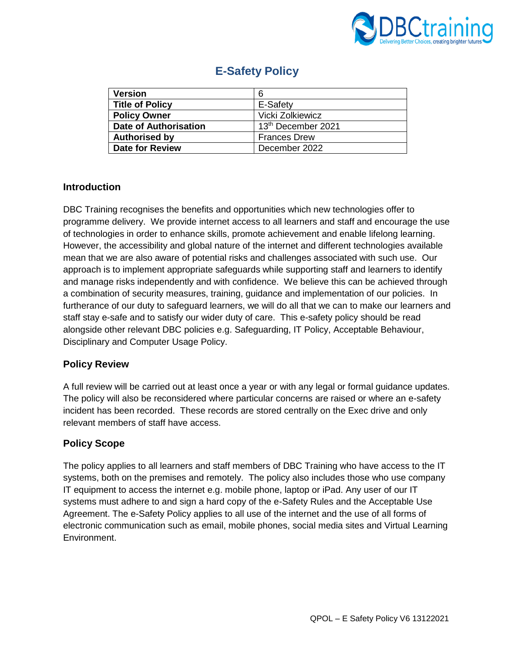

| <b>Version</b>         | 6                              |
|------------------------|--------------------------------|
| <b>Title of Policy</b> | E-Safety                       |
| <b>Policy Owner</b>    | Vicki Zolkiewicz               |
| Date of Authorisation  | 13 <sup>th</sup> December 2021 |
| <b>Authorised by</b>   | <b>Frances Drew</b>            |
| <b>Date for Review</b> | December 2022                  |

# **E-Safety Policy**

# **Introduction**

DBC Training recognises the benefits and opportunities which new technologies offer to programme delivery. We provide internet access to all learners and staff and encourage the use of technologies in order to enhance skills, promote achievement and enable lifelong learning. However, the accessibility and global nature of the internet and different technologies available mean that we are also aware of potential risks and challenges associated with such use. Our approach is to implement appropriate safeguards while supporting staff and learners to identify and manage risks independently and with confidence. We believe this can be achieved through a combination of security measures, training, guidance and implementation of our policies. In furtherance of our duty to safeguard learners, we will do all that we can to make our learners and staff stay e-safe and to satisfy our wider duty of care. This e-safety policy should be read alongside other relevant DBC policies e.g. Safeguarding, IT Policy, Acceptable Behaviour, Disciplinary and Computer Usage Policy.

# **Policy Review**

A full review will be carried out at least once a year or with any legal or formal guidance updates. The policy will also be reconsidered where particular concerns are raised or where an e-safety incident has been recorded. These records are stored centrally on the Exec drive and only relevant members of staff have access.

# **Policy Scope**

The policy applies to all learners and staff members of DBC Training who have access to the IT systems, both on the premises and remotely. The policy also includes those who use company IT equipment to access the internet e.g. mobile phone, laptop or iPad. Any user of our IT systems must adhere to and sign a hard copy of the e-Safety Rules and the Acceptable Use Agreement. The e-Safety Policy applies to all use of the internet and the use of all forms of electronic communication such as email, mobile phones, social media sites and Virtual Learning Environment.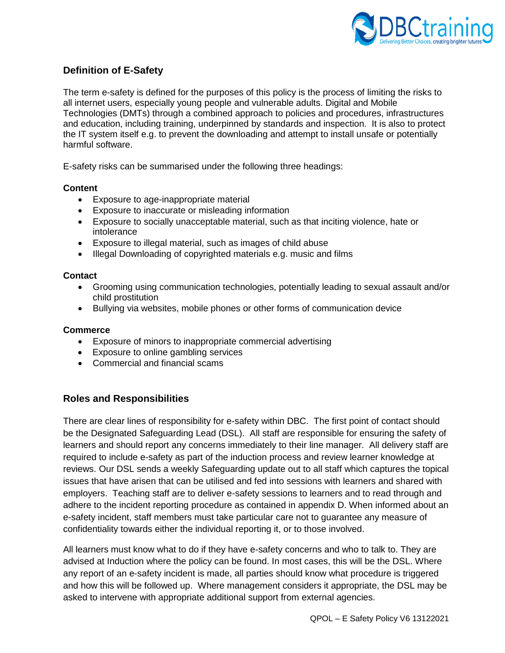

# **Definition of E-Safety**

The term e-safety is defined for the purposes of this policy is the process of limiting the risks to all internet users, especially young people and vulnerable adults. Digital and Mobile Technologies (DMTs) through a combined approach to policies and procedures, infrastructures and education, including training, underpinned by standards and inspection. It is also to protect the IT system itself e.g. to prevent the downloading and attempt to install unsafe or potentially harmful software.

E-safety risks can be summarised under the following three headings:

#### **Content**

- Exposure to age-inappropriate material
- Exposure to inaccurate or misleading information
- Exposure to socially unacceptable material, such as that inciting violence, hate or intolerance
- Exposure to illegal material, such as images of child abuse
- Illegal Downloading of copyrighted materials e.g. music and films

#### **Contact**

- Grooming using communication technologies, potentially leading to sexual assault and/or child prostitution
- Bullying via websites, mobile phones or other forms of communication device

#### **Commerce**

- Exposure of minors to inappropriate commercial advertising
- Exposure to online gambling services
- Commercial and financial scams

#### **Roles and Responsibilities**

There are clear lines of responsibility for e-safety within DBC. The first point of contact should be the Designated Safeguarding Lead (DSL). All staff are responsible for ensuring the safety of learners and should report any concerns immediately to their line manager. All delivery staff are required to include e-safety as part of the induction process and review learner knowledge at reviews. Our DSL sends a weekly Safeguarding update out to all staff which captures the topical issues that have arisen that can be utilised and fed into sessions with learners and shared with employers. Teaching staff are to deliver e-safety sessions to learners and to read through and adhere to the incident reporting procedure as contained in appendix D. When informed about an e-safety incident, staff members must take particular care not to guarantee any measure of confidentiality towards either the individual reporting it, or to those involved.

All learners must know what to do if they have e-safety concerns and who to talk to. They are advised at Induction where the policy can be found. In most cases, this will be the DSL. Where any report of an e-safety incident is made, all parties should know what procedure is triggered and how this will be followed up. Where management considers it appropriate, the DSL may be asked to intervene with appropriate additional support from external agencies.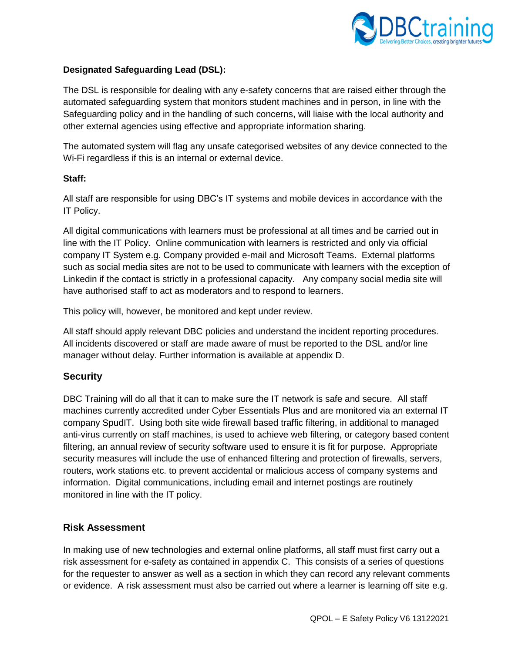

# **Designated Safeguarding Lead (DSL):**

The DSL is responsible for dealing with any e-safety concerns that are raised either through the automated safeguarding system that monitors student machines and in person, in line with the Safeguarding policy and in the handling of such concerns, will liaise with the local authority and other external agencies using effective and appropriate information sharing.

The automated system will flag any unsafe categorised websites of any device connected to the Wi-Fi regardless if this is an internal or external device.

### **Staff:**

All staff are responsible for using DBC's IT systems and mobile devices in accordance with the IT Policy.

All digital communications with learners must be professional at all times and be carried out in line with the IT Policy. Online communication with learners is restricted and only via official company IT System e.g. Company provided e-mail and Microsoft Teams. External platforms such as social media sites are not to be used to communicate with learners with the exception of Linkedin if the contact is strictly in a professional capacity. Any company social media site will have authorised staff to act as moderators and to respond to learners.

This policy will, however, be monitored and kept under review.

All staff should apply relevant DBC policies and understand the incident reporting procedures. All incidents discovered or staff are made aware of must be reported to the DSL and/or line manager without delay. Further information is available at appendix D.

# **Security**

DBC Training will do all that it can to make sure the IT network is safe and secure. All staff machines currently accredited under Cyber Essentials Plus and are monitored via an external IT company SpudIT. Using both site wide firewall based traffic filtering, in additional to managed anti-virus currently on staff machines, is used to achieve web filtering, or category based content filtering, an annual review of security software used to ensure it is fit for purpose. Appropriate security measures will include the use of enhanced filtering and protection of firewalls, servers, routers, work stations etc. to prevent accidental or malicious access of company systems and information. Digital communications, including email and internet postings are routinely monitored in line with the IT policy.

# **Risk Assessment**

In making use of new technologies and external online platforms, all staff must first carry out a risk assessment for e-safety as contained in appendix C. This consists of a series of questions for the requester to answer as well as a section in which they can record any relevant comments or evidence. A risk assessment must also be carried out where a learner is learning off site e.g.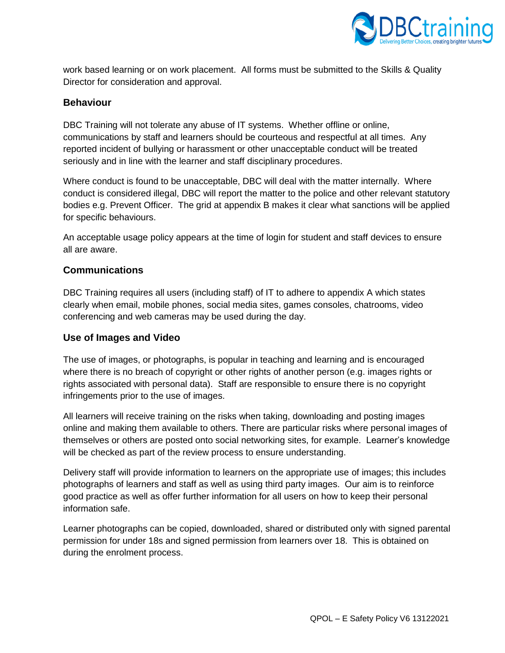

work based learning or on work placement. All forms must be submitted to the Skills & Quality Director for consideration and approval.

### **Behaviour**

DBC Training will not tolerate any abuse of IT systems. Whether offline or online, communications by staff and learners should be courteous and respectful at all times. Any reported incident of bullying or harassment or other unacceptable conduct will be treated seriously and in line with the learner and staff disciplinary procedures.

Where conduct is found to be unacceptable, DBC will deal with the matter internally. Where conduct is considered illegal, DBC will report the matter to the police and other relevant statutory bodies e.g. Prevent Officer. The grid at appendix B makes it clear what sanctions will be applied for specific behaviours.

An acceptable usage policy appears at the time of login for student and staff devices to ensure all are aware.

### **Communications**

DBC Training requires all users (including staff) of IT to adhere to appendix A which states clearly when email, mobile phones, social media sites, games consoles, chatrooms, video conferencing and web cameras may be used during the day.

#### **Use of Images and Video**

The use of images, or photographs, is popular in teaching and learning and is encouraged where there is no breach of copyright or other rights of another person (e.g. images rights or rights associated with personal data). Staff are responsible to ensure there is no copyright infringements prior to the use of images.

All learners will receive training on the risks when taking, downloading and posting images online and making them available to others. There are particular risks where personal images of themselves or others are posted onto social networking sites, for example. Learner's knowledge will be checked as part of the review process to ensure understanding.

Delivery staff will provide information to learners on the appropriate use of images; this includes photographs of learners and staff as well as using third party images. Our aim is to reinforce good practice as well as offer further information for all users on how to keep their personal information safe.

Learner photographs can be copied, downloaded, shared or distributed only with signed parental permission for under 18s and signed permission from learners over 18. This is obtained on during the enrolment process.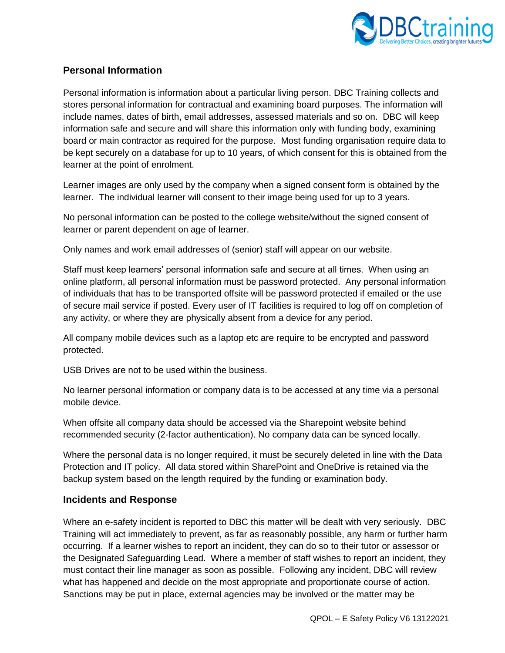

# **Personal Information**

Personal information is information about a particular living person. DBC Training collects and stores personal information for contractual and examining board purposes. The information will include names, dates of birth, email addresses, assessed materials and so on. DBC will keep information safe and secure and will share this information only with funding body, examining board or main contractor as required for the purpose. Most funding organisation require data to be kept securely on a database for up to 10 years, of which consent for this is obtained from the learner at the point of enrolment.

Learner images are only used by the company when a signed consent form is obtained by the learner. The individual learner will consent to their image being used for up to 3 years.

No personal information can be posted to the college website/without the signed consent of learner or parent dependent on age of learner.

Only names and work email addresses of (senior) staff will appear on our website.

Staff must keep learners' personal information safe and secure at all times. When using an online platform, all personal information must be password protected. Any personal information of individuals that has to be transported offsite will be password protected if emailed or the use of secure mail service if posted. Every user of IT facilities is required to log off on completion of any activity, or where they are physically absent from a device for any period.

All company mobile devices such as a laptop etc are require to be encrypted and password protected.

USB Drives are not to be used within the business.

No learner personal information or company data is to be accessed at any time via a personal mobile device.

When offsite all company data should be accessed via the Sharepoint website behind recommended security (2-factor authentication). No company data can be synced locally.

Where the personal data is no longer required, it must be securely deleted in line with the Data Protection and IT policy. All data stored within SharePoint and OneDrive is retained via the backup system based on the length required by the funding or examination body.

#### **Incidents and Response**

Where an e-safety incident is reported to DBC this matter will be dealt with very seriously. DBC Training will act immediately to prevent, as far as reasonably possible, any harm or further harm occurring. If a learner wishes to report an incident, they can do so to their tutor or assessor or the Designated Safeguarding Lead. Where a member of staff wishes to report an incident, they must contact their line manager as soon as possible. Following any incident, DBC will review what has happened and decide on the most appropriate and proportionate course of action. Sanctions may be put in place, external agencies may be involved or the matter may be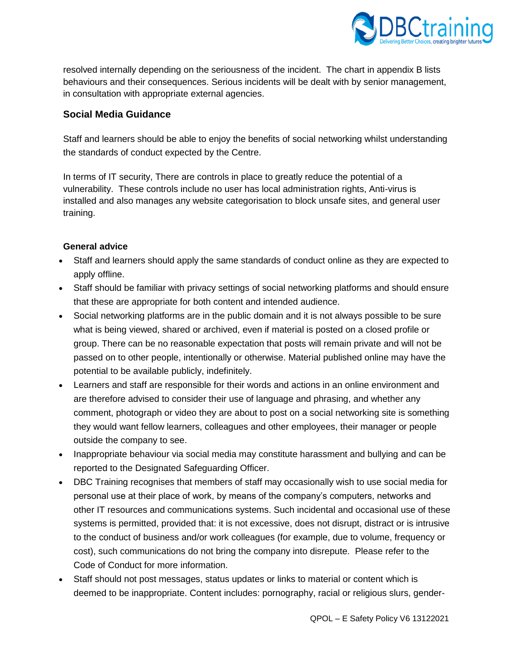

resolved internally depending on the seriousness of the incident. The chart in appendix B lists behaviours and their consequences. Serious incidents will be dealt with by senior management, in consultation with appropriate external agencies.

# **Social Media Guidance**

Staff and learners should be able to enjoy the benefits of social networking whilst understanding the standards of conduct expected by the Centre.

In terms of IT security, There are controls in place to greatly reduce the potential of a vulnerability. These controls include no user has local administration rights, Anti-virus is installed and also manages any website categorisation to block unsafe sites, and general user training.

# **General advice**

- Staff and learners should apply the same standards of conduct online as they are expected to apply offline.
- Staff should be familiar with privacy settings of social networking platforms and should ensure that these are appropriate for both content and intended audience.
- Social networking platforms are in the public domain and it is not always possible to be sure what is being viewed, shared or archived, even if material is posted on a closed profile or group. There can be no reasonable expectation that posts will remain private and will not be passed on to other people, intentionally or otherwise. Material published online may have the potential to be available publicly, indefinitely.
- Learners and staff are responsible for their words and actions in an online environment and are therefore advised to consider their use of language and phrasing, and whether any comment, photograph or video they are about to post on a social networking site is something they would want fellow learners, colleagues and other employees, their manager or people outside the company to see.
- Inappropriate behaviour via social media may constitute harassment and bullying and can be reported to the Designated Safeguarding Officer.
- DBC Training recognises that members of staff may occasionally wish to use social media for personal use at their place of work, by means of the company's computers, networks and other IT resources and communications systems. Such incidental and occasional use of these systems is permitted, provided that: it is not excessive, does not disrupt, distract or is intrusive to the conduct of business and/or work colleagues (for example, due to volume, frequency or cost), such communications do not bring the company into disrepute. Please refer to the Code of Conduct for more information.
- Staff should not post messages, status updates or links to material or content which is deemed to be inappropriate. Content includes: pornography, racial or religious slurs, gender-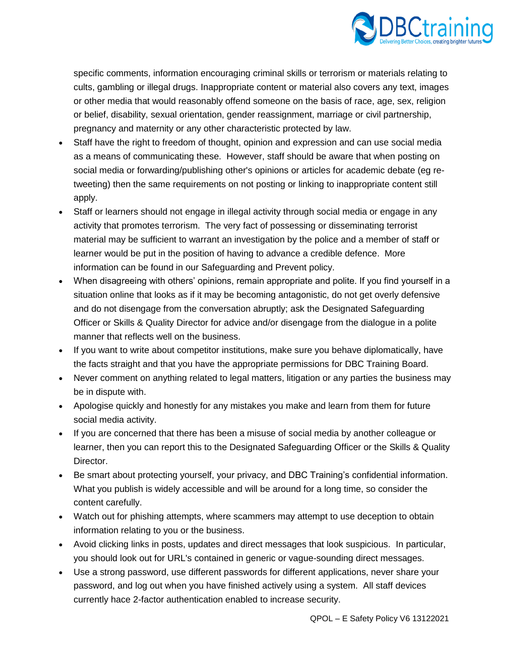

specific comments, information encouraging criminal skills or terrorism or materials relating to cults, gambling or illegal drugs. Inappropriate content or material also covers any text, images or other media that would reasonably offend someone on the basis of race, age, sex, religion or belief, disability, sexual orientation, gender reassignment, marriage or civil partnership, pregnancy and maternity or any other characteristic protected by law.

- Staff have the right to freedom of thought, opinion and expression and can use social media as a means of communicating these. However, staff should be aware that when posting on social media or forwarding/publishing other's opinions or articles for academic debate (eg retweeting) then the same requirements on not posting or linking to inappropriate content still apply.
- Staff or learners should not engage in illegal activity through social media or engage in any activity that promotes terrorism. The very fact of possessing or disseminating terrorist material may be sufficient to warrant an investigation by the police and a member of staff or learner would be put in the position of having to advance a credible defence. More information can be found in our Safeguarding and Prevent policy.
- When disagreeing with others' opinions, remain appropriate and polite. If you find yourself in a situation online that looks as if it may be becoming antagonistic, do not get overly defensive and do not disengage from the conversation abruptly; ask the Designated Safeguarding Officer or Skills & Quality Director for advice and/or disengage from the dialogue in a polite manner that reflects well on the business.
- If you want to write about competitor institutions, make sure you behave diplomatically, have the facts straight and that you have the appropriate permissions for DBC Training Board.
- Never comment on anything related to legal matters, litigation or any parties the business may be in dispute with.
- Apologise quickly and honestly for any mistakes you make and learn from them for future social media activity.
- If you are concerned that there has been a misuse of social media by another colleague or learner, then you can report this to the Designated Safeguarding Officer or the Skills & Quality Director.
- Be smart about protecting yourself, your privacy, and DBC Training's confidential information. What you publish is widely accessible and will be around for a long time, so consider the content carefully.
- Watch out for phishing attempts, where scammers may attempt to use deception to obtain information relating to you or the business.
- Avoid clicking links in posts, updates and direct messages that look suspicious. In particular, you should look out for URL's contained in generic or vague-sounding direct messages.
- Use a strong password, use different passwords for different applications, never share your password, and log out when you have finished actively using a system. All staff devices currently hace 2-factor authentication enabled to increase security.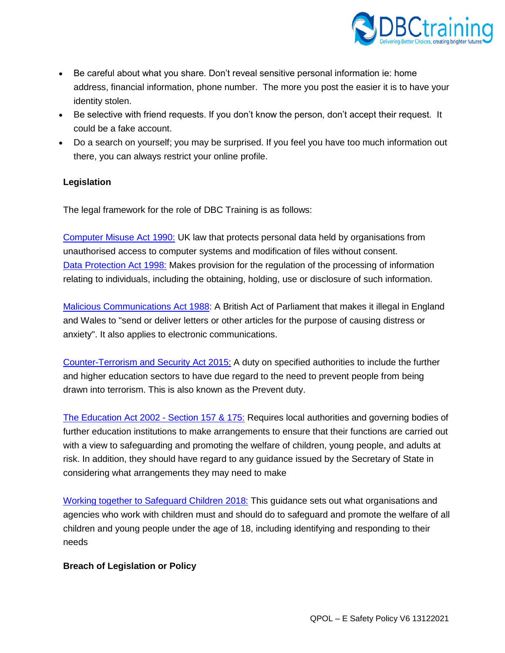

- Be careful about what you share. Don't reveal sensitive personal information ie: home address, financial information, phone number. The more you post the easier it is to have your identity stolen.
- Be selective with friend requests. If you don't know the person, don't accept their request. It could be a fake account.
- Do a search on yourself; you may be surprised. If you feel you have too much information out there, you can always restrict your online profile.

### **Legislation**

The legal framework for the role of DBC Training is as follows:

[Computer Misuse Act 1990:](https://www.legislation.gov.uk/ukpga/1990/18/contents) UK law that protects personal data held by organisations from unauthorised access to computer systems and modification of files without consent. [Data Protection Act 1998:](https://www.legislation.gov.uk/ukpga/1998/29/contents) Makes provision for the regulation of the processing of information relating to individuals, including the obtaining, holding, use or disclosure of such information.

[Malicious Communications Act 1988:](https://www.legislation.gov.uk/ukpga/1988/27/section/1) A British Act of Parliament that makes it illegal in England and Wales to "send or deliver letters or other articles for the purpose of causing distress or anxiety". It also applies to electronic communications.

[Counter-Terrorism and Security Act 2015:](https://www.legislation.gov.uk/ukpga/2015/6/contents/enacted) A duty on specified authorities to include the further and higher education sectors to have due regard to the need to prevent people from being drawn into terrorism. This is also known as the Prevent duty.

[The Education Act 2002 -](https://www.legislation.gov.uk/ukpga/2002/32/section/175) Section 157 & 175: Requires local authorities and governing bodies of further education institutions to make arrangements to ensure that their functions are carried out with a view to safeguarding and promoting the welfare of children, young people, and adults at risk. In addition, they should have regard to any guidance issued by the Secretary of State in considering what arrangements they may need to make

[Working together to Safeguard Children 2018:](https://www.gov.uk/government/publications/working-together-to-safeguard-children--2) This guidance sets out what organisations and agencies who work with children must and should do to safeguard and promote the welfare of all children and young people under the age of 18, including identifying and responding to their needs

#### **Breach of Legislation or Policy**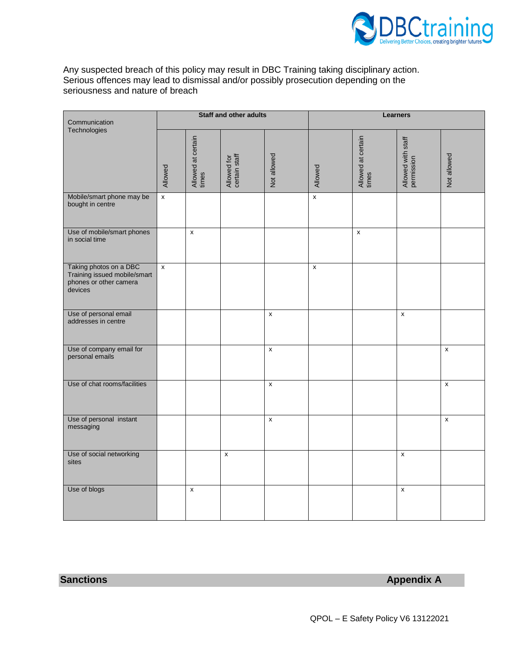

Any suspected breach of this policy may result in DBC Training taking disciplinary action. Serious offences may lead to dismissal and/or possibly prosecution depending on the seriousness and nature of breach

| Communication                                                                               | Staff and other adults    |                             |                              |                    | <b>Learners</b>    |                             |                                  |                    |
|---------------------------------------------------------------------------------------------|---------------------------|-----------------------------|------------------------------|--------------------|--------------------|-----------------------------|----------------------------------|--------------------|
| Technologies                                                                                | Allowed                   | Allowed at certain<br>times | Allowed for<br>certain staff | Not allowed        | Allowed            | Allowed at certain<br>times | Allowed with staff<br>permission | Not allowed        |
| Mobile/smart phone may be<br>bought in centre                                               | $\boldsymbol{\mathsf{x}}$ |                             |                              |                    | $\pmb{\mathsf{x}}$ |                             |                                  |                    |
| Use of mobile/smart phones<br>in social time                                                |                           | $\pmb{\mathsf{x}}$          |                              |                    |                    | $\pmb{\mathsf{x}}$          |                                  |                    |
| Taking photos on a DBC<br>Training issued mobile/smart<br>phones or other camera<br>devices | $\pmb{\chi}$              |                             |                              |                    | $\pmb{\times}$     |                             |                                  |                    |
| Use of personal email<br>addresses in centre                                                |                           |                             |                              | X                  |                    |                             | X                                |                    |
| Use of company email for<br>personal emails                                                 |                           |                             |                              | $\pmb{\mathsf{x}}$ |                    |                             |                                  | $\pmb{\mathsf{x}}$ |
| Use of chat rooms/facilities                                                                |                           |                             |                              | $\pmb{\chi}$       |                    |                             |                                  | $\pmb{\mathsf{x}}$ |
| Use of personal instant<br>messaging                                                        |                           |                             |                              | $\pmb{\mathsf{x}}$ |                    |                             |                                  | $\pmb{\mathsf{x}}$ |
| Use of social networking<br>sites                                                           |                           |                             | $\pmb{\times}$               |                    |                    |                             | $\pmb{\mathsf{x}}$               |                    |
| Use of blogs                                                                                |                           | $\pmb{\mathsf{x}}$          |                              |                    |                    |                             | $\pmb{\mathsf{x}}$               |                    |

**Sanctions Appendix A**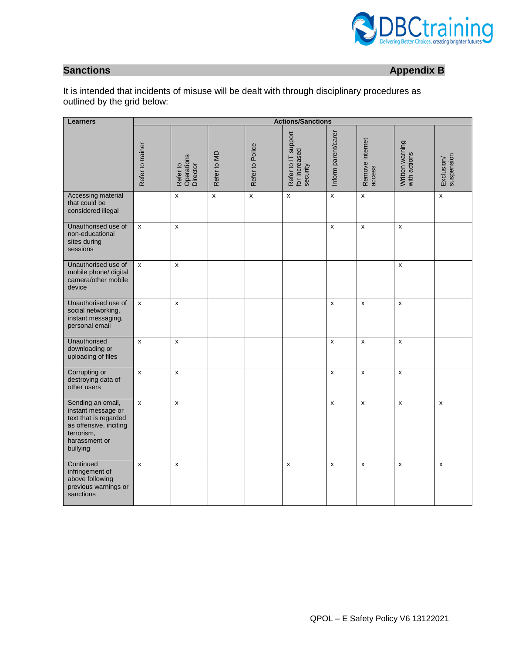

**Sanctions Appendix B** 

It is intended that incidents of misuse will be dealt with through disciplinary procedures as outlined by the grid below:

| <b>Learners</b>                                                                                                                       | <b>Actions/Sanctions</b> |                                    |                    |                    |                                                  |                     |                           |                                 |                          |
|---------------------------------------------------------------------------------------------------------------------------------------|--------------------------|------------------------------------|--------------------|--------------------|--------------------------------------------------|---------------------|---------------------------|---------------------------------|--------------------------|
|                                                                                                                                       | Refer to trainer         | Operations<br>Director<br>Refer to | Refer to MD        | Refer to Police    | Refer to IT support<br>for increased<br>security | Inform parent/carer | Remove internet<br>access | Written warning<br>with actions | suspension<br>Exclusion/ |
| Accessing material<br>that could be<br>considered illegal                                                                             |                          | X                                  | $\pmb{\mathsf{x}}$ | $\pmb{\mathsf{x}}$ | $\pmb{\mathsf{x}}$                               | x                   | $\pmb{\mathsf{x}}$        |                                 | $\pmb{\mathsf{x}}$       |
| Unauthorised use of<br>non-educational<br>sites during<br>sessions                                                                    | $\mathsf{x}$             | $\mathsf{x}$                       |                    |                    |                                                  | x                   | $\mathsf{x}$              | $\pmb{\mathsf{x}}$              |                          |
| Unauthorised use of<br>mobile phone/ digital<br>camera/other mobile<br>device                                                         | $\mathsf{x}$             | $\mathsf{x}$                       |                    |                    |                                                  |                     |                           | $\mathsf{x}$                    |                          |
| Unauthorised use of<br>social networking,<br>instant messaging,<br>personal email                                                     | $\pmb{\mathsf{x}}$       | $\pmb{\times}$                     |                    |                    |                                                  | X                   | $\pmb{\mathsf{x}}$        | $\pmb{\times}$                  |                          |
| Unauthorised<br>downloading or<br>uploading of files                                                                                  | $\mathsf{x}$             | X                                  |                    |                    |                                                  | x                   | $\mathsf{x}$              | $\pmb{\times}$                  |                          |
| Corrupting or<br>destroying data of<br>other users                                                                                    | $\pmb{\mathsf{x}}$       | $\mathsf{x}$                       |                    |                    |                                                  | x                   | $\mathsf{x}$              | $\mathsf{x}$                    |                          |
| Sending an email,<br>instant message or<br>text that is regarded<br>as offensive, inciting<br>terrorism,<br>harassment or<br>bullying | x                        | x                                  |                    |                    |                                                  | x                   | $\pmb{\mathsf{x}}$        | $\pmb{\times}$                  | x                        |
| Continued<br>infringement of<br>above following<br>previous warnings or<br>sanctions                                                  | X                        | X                                  |                    |                    | X                                                | x                   | X                         | $\mathsf{x}$                    | X                        |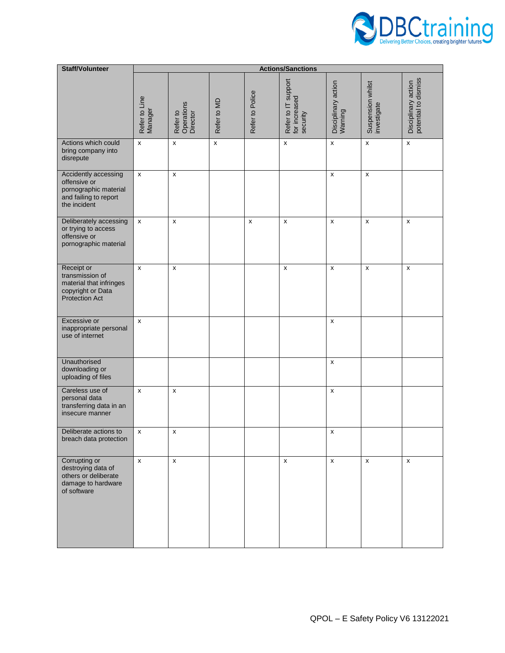

| <b>Staff/Volunteer</b>                                                                                 | <b>Actions/Sanctions</b> |                                    |                    |                    |                                                  |                                |                                  |                                             |
|--------------------------------------------------------------------------------------------------------|--------------------------|------------------------------------|--------------------|--------------------|--------------------------------------------------|--------------------------------|----------------------------------|---------------------------------------------|
|                                                                                                        | Refer to Line<br>Manager | Refer to<br>Operations<br>Director | Refer to MD        | Refer to Police    | Refer to IT support<br>for increased<br>security | Disciplinary action<br>Warning | Suspension whilst<br>investigate | Disciplinary action<br>potential to dismiss |
| Actions which could<br>bring company into<br>disrepute                                                 | x                        | $\pmb{\times}$                     | $\pmb{\mathsf{x}}$ |                    | $\pmb{\times}$                                   | $\pmb{\mathsf{x}}$             | $\pmb{\mathsf{x}}$               | $\pmb{\mathsf{x}}$                          |
| Accidently accessing<br>offensive or<br>pornographic material<br>and failing to report<br>the incident | x                        | X                                  |                    |                    |                                                  | x                              | $\pmb{\mathsf{x}}$               |                                             |
| Deliberately accessing<br>or trying to access<br>offensive or<br>pornographic material                 | x                        | $\pmb{\times}$                     |                    | $\pmb{\mathsf{x}}$ | x                                                | x                              | $\pmb{\mathsf{x}}$               | X                                           |
| Receipt or<br>transmission of<br>material that infringes<br>copyright or Data<br><b>Protection Act</b> | x                        | X                                  |                    |                    | X                                                | x                              | $\pmb{\mathsf{x}}$               | X                                           |
| Excessive or<br>inappropriate personal<br>use of internet                                              | x                        |                                    |                    |                    |                                                  | x                              |                                  |                                             |
| Unauthorised<br>downloading or<br>uploading of files                                                   |                          |                                    |                    |                    |                                                  | x                              |                                  |                                             |
| Careless use of<br>personal data<br>transferring data in an<br>insecure manner                         | x                        | X                                  |                    |                    |                                                  | x                              |                                  |                                             |
| Deliberate actions to<br>breach data protection                                                        | X                        | X                                  |                    |                    |                                                  | X                              |                                  |                                             |
| Corrupting or<br>destroying data of<br>others or deliberate<br>damage to hardware<br>of software       | X                        | X                                  |                    |                    | X                                                | X                              | X                                | x                                           |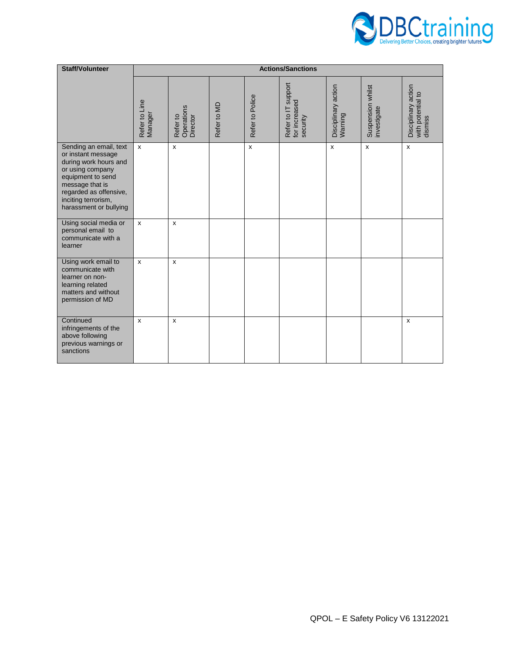

| <b>Staff/Volunteer</b>                                                                                                                                                                                       | <b>Actions/Sanctions</b> |                                    |             |                    |                                                  |                                |                                  |                                                     |
|--------------------------------------------------------------------------------------------------------------------------------------------------------------------------------------------------------------|--------------------------|------------------------------------|-------------|--------------------|--------------------------------------------------|--------------------------------|----------------------------------|-----------------------------------------------------|
|                                                                                                                                                                                                              | Refer to Line<br>Manager | Operations<br>Director<br>Refer to | Refer to MD | Refer to Police    | Refer to IT support<br>for increased<br>security | Disciplinary action<br>Warning | Suspension whilst<br>investigate | Disciplinary action<br>with potential to<br>dismiss |
| Sending an email, text<br>or instant message<br>during work hours and<br>or using company<br>equipment to send<br>message that is<br>regarded as offensive,<br>inciting terrorism,<br>harassment or bullying | $\pmb{\mathsf{x}}$       | X                                  |             | $\pmb{\mathsf{x}}$ |                                                  | $\pmb{\chi}$                   | x                                | $\pmb{\chi}$                                        |
| Using social media or<br>personal email to<br>communicate with a<br>learner                                                                                                                                  | $\pmb{\times}$           | X                                  |             |                    |                                                  |                                |                                  |                                                     |
| Using work email to<br>communicate with<br>learner on non-<br>learning related<br>matters and without<br>permission of MD                                                                                    | $\mathsf{x}$             | X                                  |             |                    |                                                  |                                |                                  |                                                     |
| Continued<br>infringements of the<br>above following<br>previous warnings or<br>sanctions                                                                                                                    | X                        | $\boldsymbol{\mathsf{x}}$          |             |                    |                                                  |                                |                                  | X                                                   |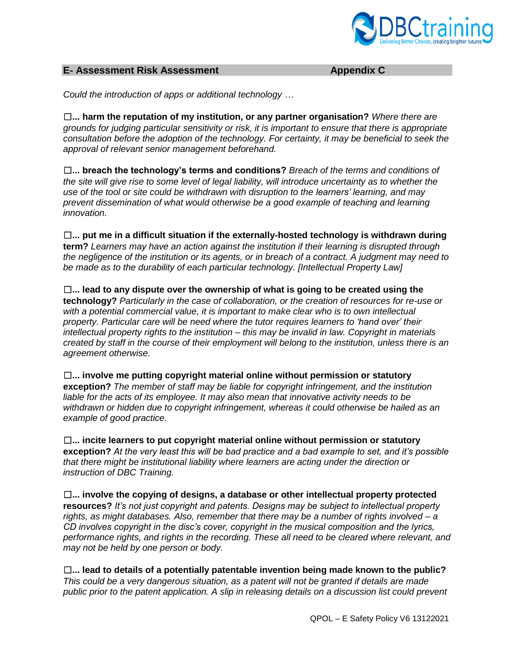

#### **E- Assessment Risk Assessment Appendix C**

*Could the introduction of apps or additional technology …*

☐**... harm the reputation of my institution, or any partner organisation?** *Where there are grounds for judging particular sensitivity or risk, it is important to ensure that there is appropriate consultation before the adoption of the technology. For certainty, it may be beneficial to seek the approval of relevant senior management beforehand.* 

☐**... breach the technology's terms and conditions?** *Breach of the terms and conditions of the site will give rise to some level of legal liability, will introduce uncertainty as to whether the use of the tool or site could be withdrawn with disruption to the learners' learning, and may prevent dissemination of what would otherwise be a good example of teaching and learning innovation.* 

☐**... put me in a difficult situation if the externally-hosted technology is withdrawn during term?** *Learners may have an action against the institution if their learning is disrupted through the negligence of the institution or its agents, or in breach of a contract. A judgment may need to be made as to the durability of each particular technology. [Intellectual Property Law]* 

☐**... lead to any dispute over the ownership of what is going to be created using the technology?** *Particularly in the case of collaboration, or the creation of resources for re-use or with a potential commercial value, it is important to make clear who is to own intellectual property. Particular care will be need where the tutor requires learners to 'hand over' their intellectual property rights to the institution – this may be invalid in law. Copyright in materials created by staff in the course of their employment will belong to the institution, unless there is an agreement otherwise.* 

☐**... involve me putting copyright material online without permission or statutory exception?** *The member of staff may be liable for copyright infringement, and the institution*  liable for the acts of its employee. It may also mean that innovative activity needs to be *withdrawn or hidden due to copyright infringement, whereas it could otherwise be hailed as an example of good practice.* 

☐**... incite learners to put copyright material online without permission or statutory exception?** *At the very least this will be bad practice and a bad example to set, and it's possible that there might be institutional liability where learners are acting under the direction or instruction of DBC Training.* 

☐**... involve the copying of designs, a database or other intellectual property protected resources?** *It's not just copyright and patents. Designs may be subject to intellectual property rights, as might databases. Also, remember that there may be a number of rights involved – a CD involves copyright in the disc's cover, copyright in the musical composition and the lyrics, performance rights, and rights in the recording. These all need to be cleared where relevant, and may not be held by one person or body.*

☐**... lead to details of a potentially patentable invention being made known to the public?**  *This could be a very dangerous situation, as a patent will not be granted if details are made public prior to the patent application. A slip in releasing details on a discussion list could prevent*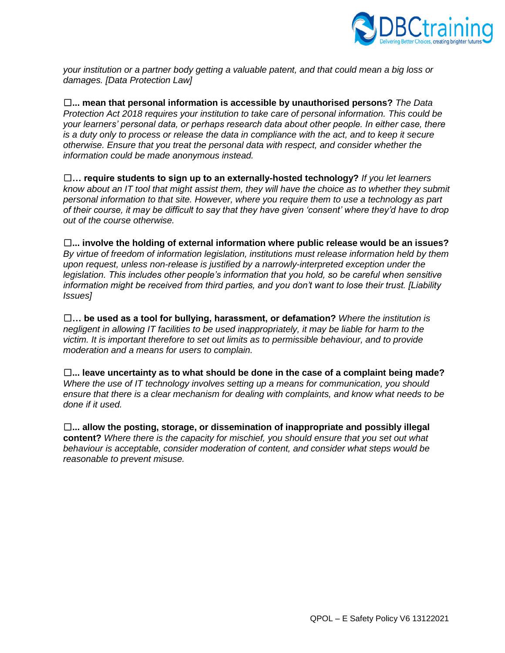

*your institution or a partner body getting a valuable patent, and that could mean a big loss or damages. [Data Protection Law]* 

☐**... mean that personal information is accessible by unauthorised persons?** *The Data Protection Act 2018 requires your institution to take care of personal information. This could be your learners' personal data, or perhaps research data about other people. In either case, there is a duty only to process or release the data in compliance with the act, and to keep it secure otherwise. Ensure that you treat the personal data with respect, and consider whether the information could be made anonymous instead.* 

☐**… require students to sign up to an externally-hosted technology?** *If you let learners know about an IT tool that might assist them, they will have the choice as to whether they submit personal information to that site. However, where you require them to use a technology as part of their course, it may be difficult to say that they have given 'consent' where they'd have to drop out of the course otherwise.* 

☐**... involve the holding of external information where public release would be an issues?**  *By virtue of freedom of information legislation, institutions must release information held by them upon request, unless non-release is justified by a narrowly-interpreted exception under the*  legislation. This includes other people's information that you hold, so be careful when sensitive *information might be received from third parties, and you don't want to lose their trust. [Liability Issues]* 

☐**… be used as a tool for bullying, harassment, or defamation?** *Where the institution is negligent in allowing IT facilities to be used inappropriately, it may be liable for harm to the victim. It is important therefore to set out limits as to permissible behaviour, and to provide moderation and a means for users to complain.* 

☐**... leave uncertainty as to what should be done in the case of a complaint being made?**  *Where the use of IT technology involves setting up a means for communication, you should ensure that there is a clear mechanism for dealing with complaints, and know what needs to be done if it used.* 

☐**... allow the posting, storage, or dissemination of inappropriate and possibly illegal content?** *Where there is the capacity for mischief, you should ensure that you set out what behaviour is acceptable, consider moderation of content, and consider what steps would be reasonable to prevent misuse.*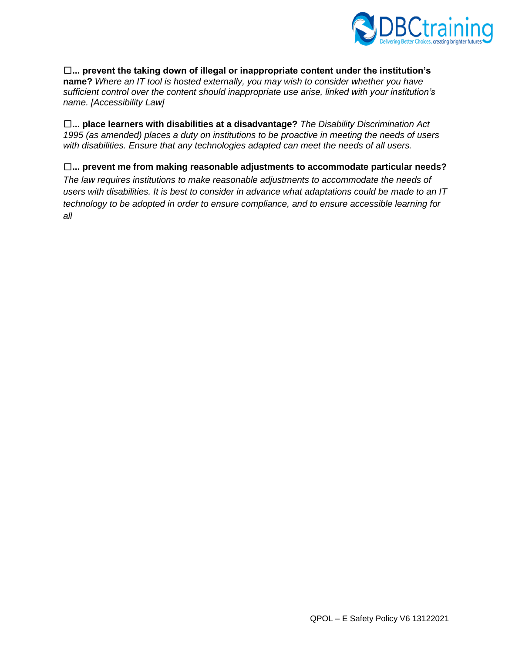

#### ☐**... prevent the taking down of illegal or inappropriate content under the institution's**

**name?** *Where an IT tool is hosted externally, you may wish to consider whether you have sufficient control over the content should inappropriate use arise, linked with your institution's name. [Accessibility Law]* 

☐**... place learners with disabilities at a disadvantage?** *The Disability Discrimination Act 1995 (as amended) places a duty on institutions to be proactive in meeting the needs of users with disabilities. Ensure that any technologies adapted can meet the needs of all users.* 

#### ☐**... prevent me from making reasonable adjustments to accommodate particular needs?**

*The law requires institutions to make reasonable adjustments to accommodate the needs of users with disabilities. It is best to consider in advance what adaptations could be made to an IT technology to be adopted in order to ensure compliance, and to ensure accessible learning for all*